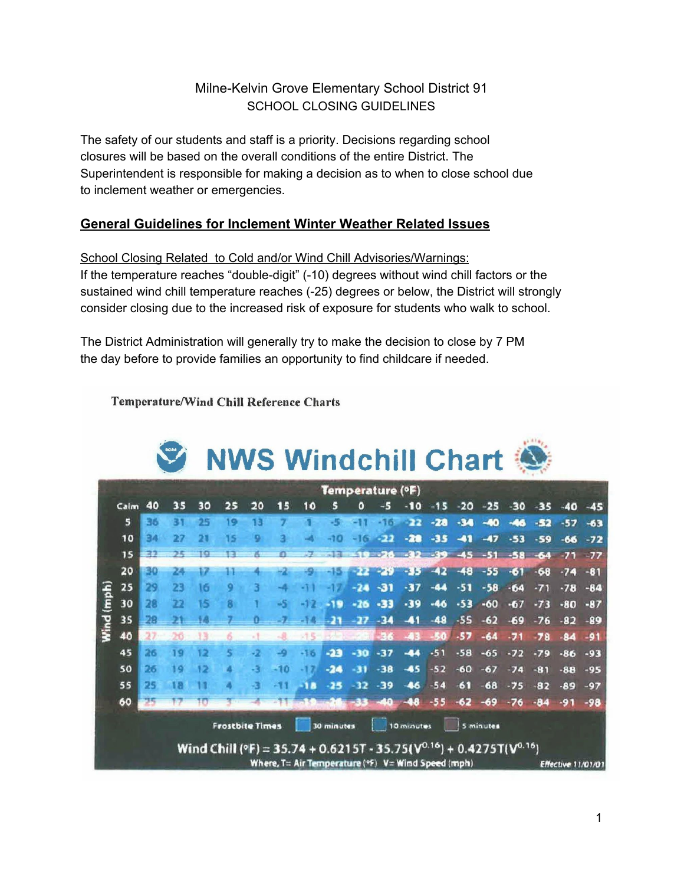## Milne-Kelvin Grove Elementary School District 91 SCHOOL CLOSING GUIDELINES

The safety of our students and staff is a priority. Decisions regarding school closures will be based on the overall conditions of the entire District. The Superintendent is responsible for making a decision as to when to close school due to inclement weather or emergencies.

## **General Guidelines for Inclement Winter Weather Related Issues**

School Closing Related to Cold and/or Wind Chill Advisories/Warnings: If the temperature reaches "double-digit" (-10) degrees without wind chill factors or the sustained wind chill temperature reaches (-25) degrees or below, the District will strongly consider closing due to the increased risk of exposure for students who walk to school.

The District Administration will generally try to make the decision to close by 7 PM the day before to provide families an opportunity to find childcare if needed.

**Temperature/Wind Chill Reference Charts**